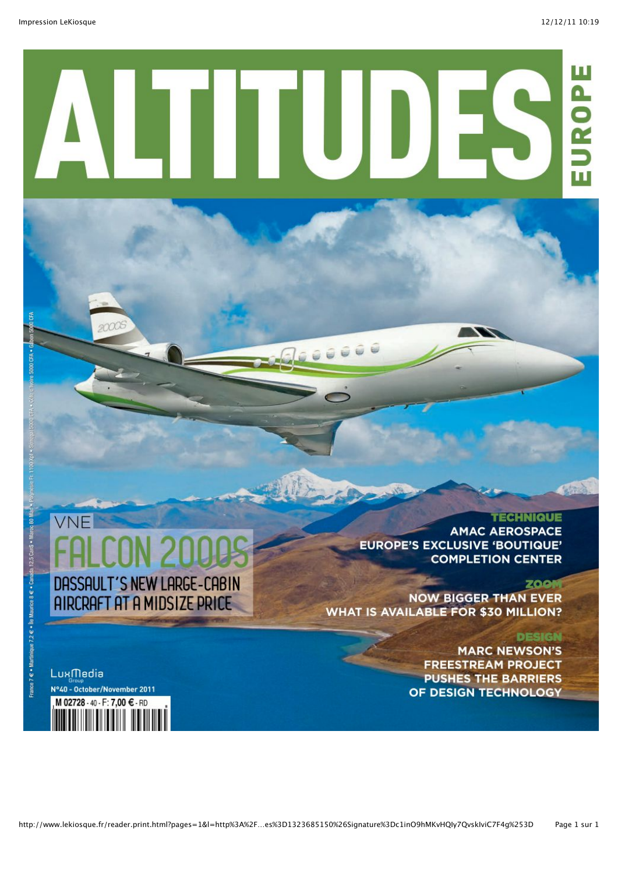# $\mathbf{u}$ UROP π

# VNF DASSAULT'S NEW LARGE-CABIN **AIRCRAFT AT A MIDSIZE PRICE**

### **TECHNIQUE**

**AMAC AEROSPACE EUROPE'S EXCLUSIVE 'BOUTIQUE' COMPLETION CENTER** 

#### **ZOOM**

**NOW BIGGER THAN EVER WHAT IS AVAILABLE FOR \$30 MILLION?** 

#### **DESIGN**

**MARC NEWSON'S FREESTREAM PROJECT PUSHES THE BARRIERS** OF DESIGN TECHNOLOGY

LuxMedia N°40 - October/November 2011 M 02728 - 40 - F: 7.00 € - RD

France 7 € · Martinique 7.2 € · Île Maurice 8 € · Can